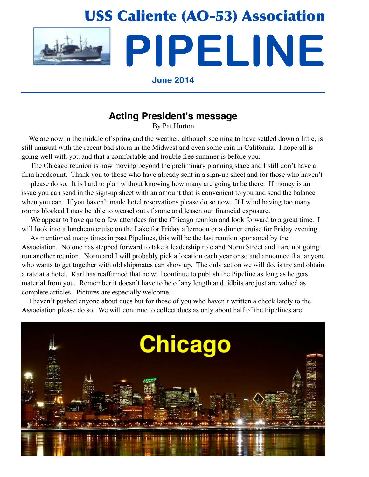

# **Acting President's message**

By Pat Hurton

 We are now in the middle of spring and the weather, although seeming to have settled down a little, is still unusual with the recent bad storm in the Midwest and even some rain in California. I hope all is going well with you and that a comfortable and trouble free summer is before you.

 The Chicago reunion is now moving beyond the preliminary planning stage and I still don't have a firm headcount. Thank you to those who have already sent in a sign-up sheet and for those who haven't — please do so. It is hard to plan without knowing how many are going to be there. If money is an issue you can send in the sign-up sheet with an amount that is convenient to you and send the balance when you can. If you haven't made hotel reservations please do so now. If I wind having too many rooms blocked I may be able to weasel out of some and lessen our financial exposure.

We appear to have quite a few attendees for the Chicago reunion and look forward to a great time. I will look into a luncheon cruise on the Lake for Friday afternoon or a dinner cruise for Friday evening.

 As mentioned many times in past Pipelines, this will be the last reunion sponsored by the Association. No one has stepped forward to take a leadership role and Norm Street and I are not going run another reunion. Norm and I will probably pick a location each year or so and announce that anyone who wants to get together with old shipmates can show up. The only action we will do, is try and obtain a rate at a hotel. Karl has reaffirmed that he will continue to publish the Pipeline as long as he gets material from you. Remember it doesn't have to be of any length and tidbits are just are valued as complete articles. Pictures are especially welcome.

 I haven't pushed anyone about dues but for those of you who haven't written a check lately to the Association please do so. We will continue to collect dues as only about half of the Pipelines are

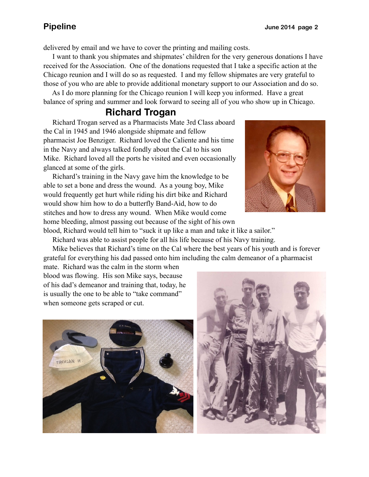delivered by email and we have to cover the printing and mailing costs.

 I want to thank you shipmates and shipmates' children for the very generous donations I have received for the Association. One of the donations requested that I take a specific action at the Chicago reunion and I will do so as requested. I and my fellow shipmates are very grateful to those of you who are able to provide additional monetary support to our Association and do so.

 As I do more planning for the Chicago reunion I will keep you informed. Have a great balance of spring and summer and look forward to seeing all of you who show up in Chicago.

# **Richard Trogan**

 Richard Trogan served as a Pharmacists Mate 3rd Class aboard the Cal in 1945 and 1946 alongside shipmate and fellow pharmacist Joe Benziger. Richard loved the Caliente and his time in the Navy and always talked fondly about the Cal to his son Mike. Richard loved all the ports he visited and even occasionally glanced at some of the girls.

 Richard's training in the Navy gave him the knowledge to be able to set a bone and dress the wound. As a young boy, Mike would frequently get hurt while riding his dirt bike and Richard would show him how to do a butterfly Band-Aid, how to do stitches and how to dress any wound. When Mike would come home bleeding, almost passing out because of the sight of his own



blood, Richard would tell him to "suck it up like a man and take it like a sailor."

Richard was able to assist people for all his life because of his Navy training.

 Mike believes that Richard's time on the Cal where the best years of his youth and is forever grateful for everything his dad passed onto him including the calm demeanor of a pharmacist

mate. Richard was the calm in the storm when blood was flowing. His son Mike says, because of his dad's demeanor and training that, today, he is usually the one to be able to "take command" when someone gets scraped or cut.



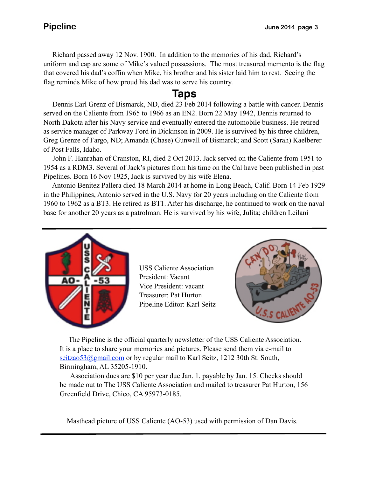Richard passed away 12 Nov. 1900. In addition to the memories of his dad, Richard's uniform and cap are some of Mike's valued possessions. The most treasured memento is the flag that covered his dad's coffin when Mike, his brother and his sister laid him to rest. Seeing the flag reminds Mike of how proud his dad was to serve his country.

# **Taps**

 Dennis Earl Grenz of Bismarck, ND, died 23 Feb 2014 following a battle with cancer. Dennis served on the Caliente from 1965 to 1966 as an EN2. Born 22 May 1942, Dennis returned to North Dakota after his Navy service and eventually entered the automobile business. He retired as service manager of Parkway Ford in Dickinson in 2009. He is survived by his three children, Greg Grenze of Fargo, ND; Amanda (Chase) Gunwall of Bismarck; and Scott (Sarah) Kaelberer of Post Falls, Idaho.

 John F. Hanrahan of Cranston, RI, died 2 Oct 2013. Jack served on the Caliente from 1951 to 1954 as a RDM3. Several of Jack's pictures from his time on the Cal have been published in past Pipelines. Born 16 Nov 1925, Jack is survived by his wife Elena.

 Antonio Benitez Pallera died 18 March 2014 at home in Long Beach, Calif. Born 14 Feb 1929 in the Philippines, Antonio served in the U.S. Navy for 20 years including on the Caliente from 1960 to 1962 as a BT3. He retired as BT1. After his discharge, he continued to work on the naval base for another 20 years as a patrolman. He is survived by his wife, Julita; children Leilani



USS Caliente Association President: Vacant Vice President: vacant Treasurer: Pat Hurton Pipeline Editor: Karl Seitz



 The Pipeline is the official quarterly newsletter of the USS Caliente Association. It is a place to share your memories and pictures. Please send them via e-mail to seitzao53@gmail.com or by regular mail to Karl Seitz, 1212 30th St. South, Birmingham, AL 35205-1910.

 Association dues are \$10 per year due Jan. 1, payable by Jan. 15. Checks should be made out to The USS Caliente Association and mailed to treasurer Pat Hurton, 156 Greenfield Drive, Chico, CA 95973-0185.

Masthead picture of USS Caliente (AO-53) used with permission of Dan Davis.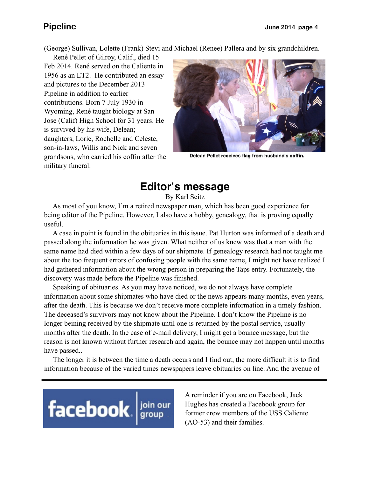(George) Sullivan, Lolette (Frank) Stevi and Michael (Renee) Pallera and by six grandchildren.

 René Pellet of Gilroy, Calif., died 15 Feb 2014. René served on the Caliente in 1956 as an ET2. He contributed an essay and pictures to the December 2013 Pipeline in addition to earlier contributions. Born 7 July 1930 in Wyoming, René taught biology at San Jose (Calif) High School for 31 years. He is survived by his wife, Delean; daughters, Lorie, Rochelle and Celeste, son-in-laws, Willis and Nick and seven grandsons, who carried his coffin after the military funeral.



Delean Pellet receives flag from husband's coffin.

# **Editor's message**

By Karl Seitz

 As most of you know, I'm a retired newspaper man, which has been good experience for being editor of the Pipeline. However, I also have a hobby, genealogy, that is proving equally useful.

 A case in point is found in the obituaries in this issue. Pat Hurton was informed of a death and passed along the information he was given. What neither of us knew was that a man with the same name had died within a few days of our shipmate. If genealogy research had not taught me about the too frequent errors of confusing people with the same name, I might not have realized I had gathered information about the wrong person in preparing the Taps entry. Fortunately, the discovery was made before the Pipeline was finished.

 Speaking of obituaries. As you may have noticed, we do not always have complete information about some shipmates who have died or the news appears many months, even years, after the death. This is because we don't receive more complete information in a timely fashion. The deceased's survivors may not know about the Pipeline. I don't know the Pipeline is no longer beining received by the shipmate until one is returned by the postal service, usually months after the death. In the case of e-mail delivery, I might get a bounce message, but the reason is not known without further research and again, the bounce may not happen until months have passed..

 The longer it is between the time a death occurs and I find out, the more difficult it is to find information because of the varied times newspapers leave obituaries on line. And the avenue of

# facebook signal point

A reminder if you are on Facebook, Jack Hughes has created a Facebook group for former crew members of the USS Caliente (AO-53) and their families.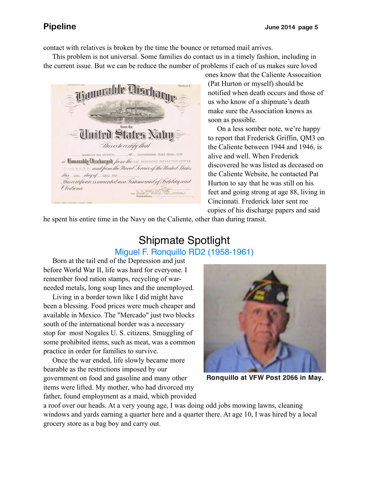contact with relatives is broken by the time the bounce or returned mail arrives.

 This problem is not universal. Some families do contact us in a timely fashion, including in the current issue. But we can be reduce the number of problems if each of us makes sure loved

**Stades** This is to certify that aster Third Class, USN i) Timmrahly Discharged from the USN PERSONNEL SEPARATION CENTER In the United States and from the Naval Service of the United States this 19th day of April 1946 This certificate is awarded as a Testimonial of Fidelity and Obedience T. F. OASEY, Lt., USRE, JUSN(Ret.)

ones know that the Caliente Assocaition (Pat Hurton or myself) should be notified when death occurs and those of us who know of a shipmate's death make sure the Association knows as soon as possible.

 On a less somber note, we're happy to report that Frederick Griffin, QM3 on the Caliente between 1944 and 1946, is alive and well. When Frederick discovered he was listed as deceased on the Caliente Website, he contacted Pat Hurton to say that he was still on his feet and going strong at age 88, living in Cincinnati. Frederick later sent me copies of his discharge papers and said

he spent his entire time in the Navy on the Caliente, other than during transit.

# Shipmate Spotlight Miguel F. Ronquillo RD2 (1958-1961)

 Born at the tail end of the Depression and just before World War II, life was hard for everyone. I remember food ration stamps, recycling of warneeded metals, long soup lines and the unemployed.

 Living in a border town like I did might have been a blessing. Food prices were much cheaper and available in Mexico. The "Mercado" just two blocks south of the international border was a necessary stop for most Nogales U. S. citizens. Smuggling of some prohibited items, such as meat, was a common practice in order for families to survive.

 Once the war ended, life slowly became more bearable as the restrictions imposed by our government on food and gasoline and many other items were lifted. My mother, who had divorced my father, found employment as a maid, which provided



Ronquillo at VFW Post 2066 in May.

a roof over our heads. At a very young age, I was doing odd jobs mowing lawns, cleaning windows and yards earning a quarter here and a quarter there. At age 10, I was hired by a local grocery store as a bag boy and carry out.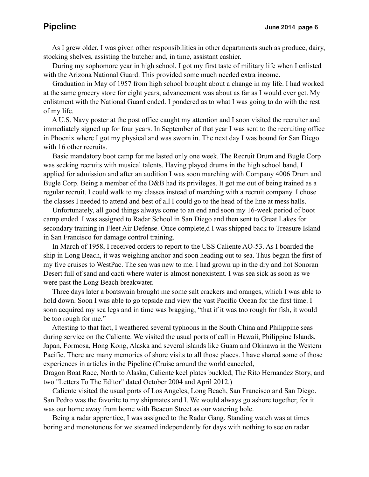As I grew older, I was given other responsibilities in other departments such as produce, dairy, stocking shelves, assisting the butcher and, in time, assistant cashier.

 During my sophomore year in high school, I got my first taste of military life when I enlisted with the Arizona National Guard. This provided some much needed extra income.

 Graduation in May of 1957 from high school brought about a change in my life. I had worked at the same grocery store for eight years, advancement was about as far as I would ever get. My enlistment with the National Guard ended. I pondered as to what I was going to do with the rest of my life.

 A U.S. Navy poster at the post office caught my attention and I soon visited the recruiter and immediately signed up for four years. In September of that year I was sent to the recruiting office in Phoenix where I got my physical and was sworn in. The next day I was bound for San Diego with 16 other recruits.

 Basic mandatory boot camp for me lasted only one week. The Recruit Drum and Bugle Corp was seeking recruits with musical talents. Having played drums in the high school band, I applied for admission and after an audition I was soon marching with Company 4006 Drum and Bugle Corp. Being a member of the D&B had its privileges. It got me out of being trained as a regular recruit. I could walk to my classes instead of marching with a recruit company. I chose the classes I needed to attend and best of all I could go to the head of the line at mess halls.

 Unfortunately, all good things always come to an end and soon my 16-week period of boot camp ended. I was assigned to Radar School in San Diego and then sent to Great Lakes for secondary training in Fleet Air Defense. Once complete,d I was shipped back to Treasure Island in San Francisco for damage control training.

 In March of 1958, I received orders to report to the USS Caliente AO-53. As I boarded the ship in Long Beach, it was weighing anchor and soon heading out to sea. Thus began the first of my five cruises to WestPac. The sea was new to me. I had grown up in the dry and hot Sonoran Desert full of sand and cacti where water is almost nonexistent. I was sea sick as soon as we were past the Long Beach breakwater.

 Three days later a boatswain brought me some salt crackers and oranges, which I was able to hold down. Soon I was able to go topside and view the vast Pacific Ocean for the first time. I soon acquired my sea legs and in time was bragging, "that if it was too rough for fish, it would be too rough for me."

 Attesting to that fact, I weathered several typhoons in the South China and Philippine seas during service on the Caliente. We visited the usual ports of call in Hawaii, Philippine Islands, Japan, Formosa, Hong Kong, Alaska and several islands like Guam and Okinawa in the Western Pacific. There are many memories of shore visits to all those places. I have shared some of those experiences in articles in the Pipeline (Cruise around the world canceled,

Dragon Boat Race, North to Alaska, Caliente keel plates buckled, The Rito Hernandez Story, and two "Letters To The Editor" dated October 2004 and April 2012.)

 Caliente visited the usual ports of Los Angeles, Long Beach, San Francisco and San Diego. San Pedro was the favorite to my shipmates and I. We would always go ashore together, for it was our home away from home with Beacon Street as our watering hole.

 Being a radar apprentice, I was assigned to the Radar Gang. Standing watch was at times boring and monotonous for we steamed independently for days with nothing to see on radar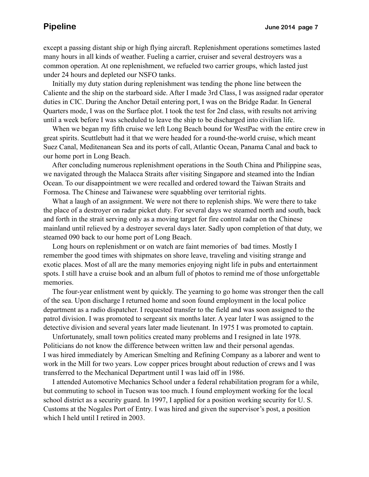except a passing distant ship or high flying aircraft. Replenishment operations sometimes lasted many hours in all kinds of weather. Fueling a carrier, cruiser and several destroyers was a common operation. At one replenishment, we refueled two carrier groups, which lasted just under 24 hours and depleted our NSFO tanks.

 Initially my duty station during replenishment was tending the phone line between the Caliente and the ship on the starboard side. After I made 3rd Class, I was assigned radar operator duties in CIC. During the Anchor Detail entering port, I was on the Bridge Radar. In General Quarters mode, I was on the Surface plot. I took the test for 2nd class, with results not arriving until a week before I was scheduled to leave the ship to be discharged into civilian life.

 When we began my fifth cruise we left Long Beach bound for WestPac with the entire crew in great spirits. Scuttlebutt had it that we were headed for a round-the-world cruise, which meant Suez Canal, Meditenanean Sea and its ports of call, Atlantic Ocean, Panama Canal and back to our home port in Long Beach.

 After concluding numerous replenishment operations in the South China and Philippine seas, we navigated through the Malacca Straits after visiting Singapore and steamed into the Indian Ocean. To our disappointment we were recalled and ordered toward the Taiwan Straits and Formosa. The Chinese and Taiwanese were squabbling over territorial rights.

 What a laugh of an assignment. We were not there to replenish ships. We were there to take the place of a destroyer on radar picket duty. For several days we steamed north and south, back and forth in the strait serving only as a moving target for fire control radar on the Chinese mainland until relieved by a destroyer several days later. Sadly upon completion of that duty, we steamed 090 back to our home port of Long Beach.

 Long hours on replenishment or on watch are faint memories of bad times. Mostly I remember the good times with shipmates on shore leave, traveling and visiting strange and exotic places. Most of all are the many memories enjoying night life in pubs and entertainment spots. I still have a cruise book and an album full of photos to remind me of those unforgettable memories.

 The four-year enlistment went by quickly. The yearning to go home was stronger then the call of the sea. Upon discharge I returned home and soon found employment in the local police department as a radio dispatcher. I requested transfer to the field and was soon assigned to the patrol division. I was promoted to sergeant six months later. A year later I was assigned to the detective division and several years later made lieutenant. In 1975 I was promoted to captain.

 Unfortunately, small town politics created many problems and I resigned in late 1978. Politicians do not know the difference between written law and their personal agendas. I was hired immediately by American Smelting and Refining Company as a laborer and went to work in the Mill for two years. Low copper prices brought about reduction of crews and I was transferred to the Mechanical Department until I was laid off in 1986.

 I attended Automotive Mechanics School under a federal rehabilitation program for a while, but commuting to school in Tucson was too much. I found employment working for the local school district as a security guard. In 1997, I applied for a position working security for U. S. Customs at the Nogales Port of Entry. I was hired and given the supervisor's post, a position which I held until I retired in 2003.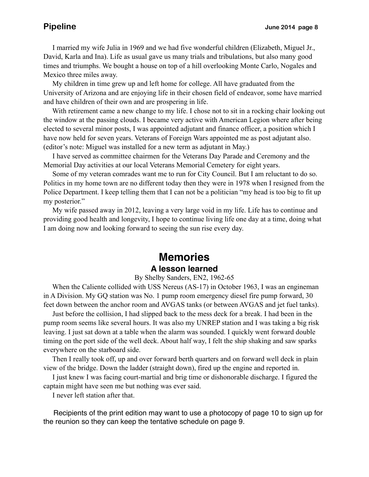I married my wife Julia in 1969 and we had five wonderful children (Elizabeth, Miguel Jr., David, Karla and Ina). Life as usual gave us many trials and tribulations, but also many good times and triumphs. We bought a house on top of a hill overlooking Monte Carlo, Nogales and Mexico three miles away.

 My children in time grew up and left home for college. All have graduated from the University of Arizona and are enjoying life in their chosen field of endeavor, some have married and have children of their own and are prospering in life.

 With retirement came a new change to my life. I chose not to sit in a rocking chair looking out the window at the passing clouds. I became very active with American Legion where after being elected to several minor posts, I was appointed adjutant and finance officer, a position which I have now held for seven years. Veterans of Foreign Wars appointed me as post adjutant also. (editor's note: Miguel was installed for a new term as adjutant in May.)

 I have served as committee chairmen for the Veterans Day Parade and Ceremony and the Memorial Day activities at our local Veterans Memorial Cemetery for eight years.

 Some of my veteran comrades want me to run for City Council. But I am reluctant to do so. Politics in my home town are no different today then they were in 1978 when I resigned from the Police Department. I keep telling them that I can not be a politician "my head is too big to fit up my posterior."

 My wife passed away in 2012, leaving a very large void in my life. Life has to continue and providing good health and longevity, I hope to continue living life one day at a time, doing what I am doing now and looking forward to seeing the sun rise every day.

# **Memories A lesson learned**

### By Shelby Sanders, EN2, 1962-65

 When the Caliente collided with USS Nereus (AS-17) in October 1963, I was an engineman in A Division. My GQ station was No. 1 pump room emergency diesel fire pump forward, 30 feet down between the anchor room and AVGAS tanks (or between AVGAS and jet fuel tanks).

 Just before the collision, I had slipped back to the mess deck for a break. I had been in the pump room seems like several hours. It was also my UNREP station and I was taking a big risk leaving. I just sat down at a table when the alarm was sounded. I quickly went forward double timing on the port side of the well deck. About half way, I felt the ship shaking and saw sparks everywhere on the starboard side.

 Then I really took off, up and over forward berth quarters and on forward well deck in plain view of the bridge. Down the ladder (straight down), fired up the engine and reported in.

 I just knew I was facing court-martial and brig time or dishonorable discharge. I figured the captain might have seen me but nothing was ever said.

I never left station after that.

 Recipients of the print edition may want to use a photocopy of page 10 to sign up for the reunion so they can keep the tentative schedule on page 9.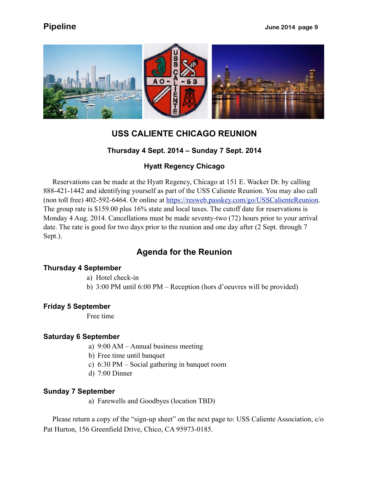

# **USS CALIENTE CHICAGO REUNION**

### **Thursday 4 Sept. 2014 – Sunday 7 Sept. 2014**

### **Hyatt Regency Chicago**

 Reservations can be made at the Hyatt Regency, Chicago at 151 E. Wacker Dr. by calling 888-421-1442 and identifying yourself as part of the USS Caliente Reunion. You may also call (non toll free) 402-592-6464. Or online at [https://resweb.passkey.com/go/USSCalienteReunion.](https://resweb.passkey.com/go/USSCalienteReunion) The group rate is \$159.00 plus 16% state and local taxes. The cutoff date for reservations is Monday 4 Aug. 2014. Cancellations must be made seventy-two (72) hours prior to your arrival date. The rate is good for two days prior to the reunion and one day after (2 Sept. through 7 Sept.).

### **Agenda for the Reunion**

### **Thursday 4 September**

- a) Hotel check-in
- b) 3:00 PM until 6:00 PM Reception (hors d'oeuvres will be provided)

### **Friday 5 September**

Free time

### **Saturday 6 September**

- a) 9:00 AM Annual business meeting
- b) Free time until banquet
- c) 6:30 PM Social gathering in banquet room
- d) 7:00 Dinner

### **Sunday 7 September**

a) Farewells and Goodbyes (location TBD)

 Please return a copy of the "sign-up sheet" on the next page to: USS Caliente Association, c/o Pat Hurton, 156 Greenfield Drive, Chico, CA 95973-0185.